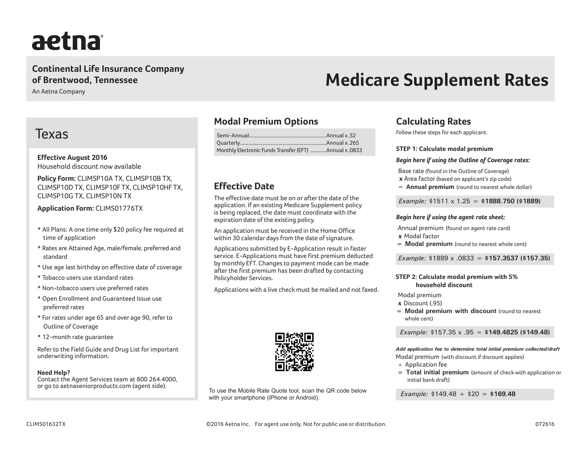# aetna

# **Continental Life Insurance Company of Brentwood, Tennessee**

An Aetna Company

# Texas

**Effective August 2016** Household discount now available

**Policy Form:** CLIMSP10A TX, CLIMSP10B TX, CLIMSP10D TX, CLIMSP10F TX, CLIMSP10HF TX, CLIMSP10G TX, CLIMSP10N TX

**Application Form:** CLIMS01776TX

- All Plans: A one time only \$20 policy fee required at time of application
- Rates are Attained Age, male/female, preferred and standard
- Use age last birthday on effective date of coverage
- Tobacco users use standard rates
- Non-tobacco users use preferred rates
- Open Enrollment and Guaranteed Issue use preferred rates
- For rates under age 65 and over age 90, refer to Outline of Coverage
- 12-month rate guarantee

Refer to the Field Guide and Drug List for important underwriting information.

## **Need Help?**

Contact the Agent Services team at 800 264.4000, or go to aetnaseniorproducts.com (agent side).

# **Modal Premium Options**

| Monthly Electronic Funds Transfer (EFT) Annual x .0833 |  |
|--------------------------------------------------------|--|

# **Effective Date**

The effective date must be on or after the date of the application. If an existing Medicare Supplement policy is being replaced, the date must coordinate with the expiration date of the existing policy.

An application must be received in the Home Office within 30 calendar days from the date of signature.

Applications submitted by E-Application result in faster service. E-Applications must have first premium deducted by monthly EFT. Changes to payment mode can be made after the first premium has been drafted by contacting Policyholder Services.

Applications with a live check must be mailed and not faxed.



To use the Mobile Rate Quote tool, scan the QR code below with your smartphone (iPhone or Android).

# **Medicare Supplement Rates**

# **Calculating Rates**

Follow these steps for each applicant.

#### **STEP 1: Calculate modal premium**

#### *Begin here if using the Outline of Coverage rates:*

Base rate (found in the Outline of Coverage)

**x** Area factor (based on applicant's zip code)

= **Annual premium** (round to nearest whole dollar)

 *Example:* \$1511 x 1.25 = **\$1888.750 (\$1889)**

#### *Begin here if using the agent rate sheet:*

 Annual premium (found on agent rate card) **x** Modal factor

**= Modal premium** (round to nearest whole cent)

*Example:* \$1889 x .0833 = **\$157.3537 (\$157.35)**

## **STEP 2: Calculate modal premium with 5% household discount**

Modal premium

**x** Discount (.95)

**= Modal premium with discount** (round to nearest whole cent)

 *Example:* \$157.35 x .95 = **\$149.4825 (\$149.48)**

*Add application fee to determine total initial premium collected/draft* Modal premium (with discount if discount applies)

- + Application fee
- **= Total initial premium** (amount of check with application or initial bank draft)

 *Example:* \$149.48 + \$20 = **\$169.48**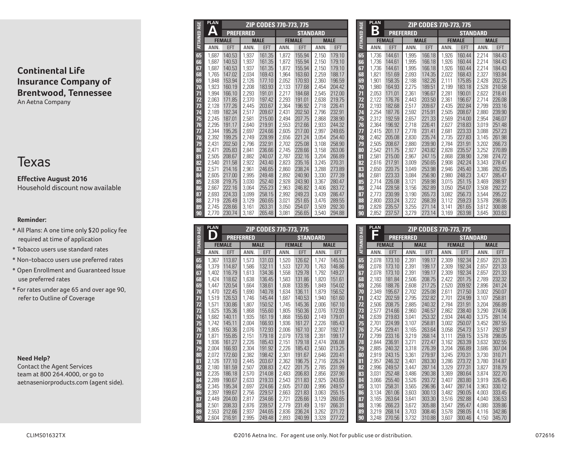# Texas

**Effective August 2016** Household discount now available

## **Reminder:**

- All Plans: A one time only \$20 policy fee required at time of application
- Tobacco users use standard rates
- Non-tobacco users use preferred rates
- Open Enrollment and Guaranteed Issue use preferred rates
- For rates under age 65 and over age 90, refer to Outline of Coverage

## **Need Help?**

Contact the Agent Services team at 800 264.4000, or go to aetnaseniorproducts.com (agent side).

| <b>ATTAINED AGE</b> | <b>PLAN</b>    |                  |                  | ZIP CODES 770-773, 775 |                |                  |                |                  | <b>ATTAINED AGE</b> | <b>PLAN</b>  |
|---------------------|----------------|------------------|------------------|------------------------|----------------|------------------|----------------|------------------|---------------------|--------------|
|                     | Δ              |                  | <b>PREFERRED</b> |                        |                | <b>STANDARD</b>  |                |                  |                     | B            |
|                     |                | <b>FEMALE</b>    |                  | <b>MALE</b>            |                | <b>FEMALE</b>    |                | <b>MALE</b>      |                     | F            |
|                     | ANN.           | <b>EFT</b>       | ANN.             | <b>EFT</b>             | ANN.           | <b>EFT</b>       | ANN.           | <b>EFT</b>       |                     | ANN          |
| 65                  | 1.687          | 140.53           | 1.937            | 161.35                 | 1.872          | 155.94           | 2.150          | 179.10           | 65                  | 1,73         |
| 66                  | 1.687          | 140.53           | 1,937            | 161.35                 | 1.872          | 155.94           | 2.150          | 179.10           | 66                  | 1,73         |
| 67                  | 1,687          | 140.53           | 1,937            | 161.35                 | 1,872          | 155.94           | 2,150          | 179.10           | 67                  | 1,73         |
| 68                  | 1,765          | 147.02           | 2,034            | 169.43                 | 1,964          | 163.60           | 2,259          | 188.17           | 68                  | 1,82         |
| 69                  | 1.848          | 153.94           | 2,126            | 177.10                 | 2.052          | 170.93           | 2.360          | 196.59           | 69                  | 1,90         |
| 70                  | 1,923          | 160.19           | 2,208            | 183.93                 | 2,133          | 177.68           | 2,454          | 204.42           | 70                  | 1,98         |
| 71                  | 1,994          | 166.10           | 2,293            | 191.01                 | 2,217          | 184.68           | 2,545          | 212.00           | 71                  | 2,05         |
| 72                  | 2,063          | 171.85           | 2,370            | 197.42                 | 2,293          | 191.01           | 2,638          | 219.75           | 72                  | 2,12         |
| 73                  | 2,128          | 177.26           | 2,445            | 203.67                 | 2,364          | 196.92           | 2.718          | 226.41           | 73                  | 2,19         |
| 74                  | 2,189          | 182.34           | 2,517            | 209.67                 | 2,431          | 202.50           | 2,796          | 232.91           | 74                  | 2,25         |
| 75                  | 2,245          | 187.01           | 2,581            | 215.00                 | 2,494          | 207.75           | 2,868          | 238.90           | 75                  | 2,31         |
| 76                  | 2,295          | 191.17           | 2,640            | 219.91                 | 2,553          | 212.66           | 2,933          | 244.32           | 76                  | 2,36         |
| 77                  | 2,344          | 195.26           | 2,697            | 224.66                 | 2,605          | 217.00           | 2,997          | 249.65           | 77                  | 2,41         |
| 78                  | 2,392          | 199.25           | 2,749            | 228.99                 | 2,656          | 221.24           | 3,054          | 254.40           | 78                  | 2,46         |
| 79                  | 2.431          | 202.50           | 2,796            | 232.91                 | 2.702          | 225.08           | 3,108          | 258.90           | 79                  | 2,50         |
| 80                  | 2,471          | 205.83           | 2,841            | 236.66                 | 2,745          | 228.66           | 3,158          | 263.06           | 80                  | 2,54         |
| 81                  | 2,505<br>2.540 | 208.67<br>211.58 | 2,882            | 240.07<br>243.40       | 2,787          | 232.16<br>235.16 | 3,204<br>3.245 | 266.89<br>270.31 | 81                  | 2,58         |
| 82<br>83            | 2.571          | 214.16           | 2,922<br>2,961   | 246.65                 | 2,823<br>2.860 | 238.24           | 3.288          | 273.89           | 82<br>83            | 2,61<br>2,65 |
| 84                  | 2.605          | 217.00           | 2,995            | 249.48                 | 2.892          | 240.90           | 3.330          | 277.39           | 84                  | 2,68         |
| 85                  | 2,638          | 219.75           | 3,030            | 252.40                 | 2,928          | 243.90           | 3,367          | 280.47           | 85                  | 2,71         |
| 86                  | 2,667          | 222.16           | 3,064            | 255.23                 | 2,963          | 246.82           | 3,406          | 283.72           | 86                  | 2,74         |
| 87                  | 2,693          | 224.33           | 3,099            | 258.15                 | 2,992          | 249.23           | 3,439          | 286.47           | 87                  | 2,77         |
| 88                  | 2,719          | 226.49           | 3,129            | 260.65                 | 3,021          | 251.65           | 3.476          | 289.55           | 88                  | 2.80         |
| 89                  | 2.745          | 228.66           | 3,161            | 263.31                 | 3,050          | 254.07           | 3,509          | 292.30           | 89                  | 2,82         |
| 90                  | 2,770          | 230.74           | 3,187            | 265.48                 | 3,081          | 256.65           | 3,540          | 294.88           | 90                  | 2,85         |

| <b>AGE</b>    | <b>PLAN</b>    |                  |                  | ZIP CODES 770-773, 775 |                |                  |                |                  |                     | <b>PLAN</b>    |                  |                  | ZIP CODES 770-773, 775 |                |                  |                |                  |
|---------------|----------------|------------------|------------------|------------------------|----------------|------------------|----------------|------------------|---------------------|----------------|------------------|------------------|------------------------|----------------|------------------|----------------|------------------|
| 品             |                |                  | <b>PREFERRED</b> |                        |                | <b>STANDARD</b>  |                |                  | <b>ATTAINED AGE</b> |                |                  | <b>PREFERRED</b> |                        |                | <b>STANDARD</b>  |                |                  |
| <b>ATTAIN</b> |                | <b>FEMALE</b>    |                  | <b>MALE</b>            |                | <b>FEMALE</b>    |                | <b>MALE</b>      |                     |                | <b>FEMALE</b>    |                  | <b>MALE</b>            |                | <b>FEMALE</b>    |                | <b>MALE</b>      |
|               | ANN.           | EFT              | ANN.             | <b>EFT</b>             | ANN.           | EFT              | ANN.           | EFT              |                     | <b>ANN</b>     | EFT              | ANN.             | EFT                    | ANN.           | <b>EFT</b>       | ANN.           | <b>EFT</b>       |
| 65            | 1,367          | 113.87           | 1,573            | 131.03                 | 1,520          | 126.62           | 1.747          | 145.53           | 65                  | 2,078          | 173.10           | 2,391            | 199.17                 | 2,309          | 192.34           | 2,657          | 221.33           |
| 66            | 1.379          | 114.87           | 1.586            | 132.11                 | 1,533          | 127.70           | 1.763          | 146.86           | 66                  | 2.078          | 173.10           | 2,391            | 199.17                 | 2.309          | 192.34           | 2.657          | 221.33           |
| 67            | 1.402          | 116.79           | 1.613            | 134.36                 | 1.558          | 129.78           | 1.792          | 149.27           | 67                  | 2.078          | 173.10           | 2,391            | 199.17                 | 2.309          | 192.34           | 2.657          | 221.33           |
| 68            | 1.424          | 118.62           | 1.638            | 136.45                 | 1,583          | 131.86           | 1,820          | 151.61           | 68                  | 2,183          | 181.84           | 2,506            | 208.75                 | 2.422          | 201.75           | 2,789          | 232.32           |
| 69            | 1,447          | 120.54           | 1.664            | 138.61                 | 1.608          | 133.95           | 1,849          | 154.02           | 69                  | 2,266          | 188.76           | 2,608            | 217.25                 | 2,520          | 209.92           | 2,896          | 241.24           |
| 70            | 1,470          | 122.45           | 1.690            | 140.78                 | 1.634          | 136.11           | 1.879          | 156.52           | 70                  | 2,349          | 195.67           | 2.702            | 225.08                 | 2,611          | 217.50           | 3.002          | 250.07           |
|               | 1,519          | 126.53           | 1,746            | 145.44                 | 1,687          | 140.53           | 1,940          | 161.60           | 71                  | 2,432          | 202.59           | 2,795            | 232.82                 | 2,701          | 224.99<br>231.91 | 3.107          | 258.81           |
| 72<br>73      | 1,571<br>1.625 | 130.86<br>135.36 | 1.807<br>1.868   | 150.52<br>155.60       | 1.745<br>1.805 | 145.36<br>150.36 | 2,006<br>2.076 | 167.10<br>172.93 | 72<br>73            | 2,506<br>2,577 | 208.75<br>214.66 | 2,885<br>2,960   | 240.32<br>246.57       | 2,784<br>2.862 | 238.40           | 3.204<br>3.290 | 266.89<br>274.06 |
| 74            | 1,682          | 140.11           | 1.935            | 161.19                 | 1,868          | 155.60           | 2,149          | 179.01           | 74                  | 2,639          | 219.83           | 3.041            | 253.32                 | 2.934          | 244.40           | 3.375          | 281.14           |
| 75            | 1.742          | 145.11           | 2,004            | 166.93                 | 1,936          | 161.27           | 2,226          | 185.43           | 75                  | 2.701          | 224.99           | 3,107            | 258.81                 | 3.002          | 250.07           | 3.452          | 287.55           |
| 76            | 1,805          | 150.36           | 2,076            | 172.93                 | 2,006          | 167.10           | 2,307          | 192.17           | 76                  | 2,754          | 229.41           | 3.165            | 263.64                 | 3.058          | 254.73           | 3,517          | 292.97           |
| 77            | 1.871          | 155.85           | 2.151            | 179.18                 | 2,079          | 173.18           | 2,391          | 199.17           | 77                  | 2.799          | 233.16           | 3,219            | 268.14                 | 3,111          | 259.15           | 3,578          | 298.05           |
| 78            | 1,936          | 161.27           | 2,226            | 185.43                 | 2.151          | 179.18           | 2.474          | 206.08           | 78                  | 2.844          | 236.91           | 3,271            | 272.47                 | 3.162          | 263.39           | 3,632          | 302.55           |
| 79            | 2,004          | 166.93           | 2,304            | 191.92                 | 2,226          | 185.43           | 2,560          | 213.25           | 79                  | 2,885          | 240.32           | 3,318            | 276.39                 | 3.204          | 266.89           | 3,686          | 307.04           |
| 80            | 2,072          | 172.60           | 2,382            | 198.42                 | 2,301          | 191.67           | 2,646          | 220.41           | 80                  | 2,919          | 243.15           | 3,361            | 279.97                 | 3,245          | 270.31           | 3.730          | 310.71           |
| 81            | 2,126          | 177.10           | 2.445            | 203.67                 | 2,362          | 196.75           | 2.716          | 226.24           | 81                  | 2.957          | 246.32           | 3,401            | 283.30                 | 3.286          | 273.72           | 3,780          | 314.87           |
| 82            | 2.180          | 181.59           | 2,507            | 208.83                 | 2,422          | 201.75           | 2.785          | 231.99           | 82                  | 2,996          | 249.57           | 3.447            | 287.14                 | 3.329          | 277.31           | 3.827          | 318.79           |
| 83            | 2,235          | 186.18           | 2,570            | 214.08                 | 2,483          | 206.83           | 2,856          | 237.90           | 83                  | 3,031          | 252.48           | 3,486            | 290.38                 | 3,369          | 280.64           | 3.874          | 322.70           |
| 84            | 2,289          | 190.67           | 2.633            | 219.33                 | 2.543          | 211.83           | 2,925          | 243.65           | 84                  | 3.066          | 255.40           | 3,526            | 293.72                 | 3,407          | 283.80           | 3,919          | 326.45           |
| 85            | 2,345          | 195.34           | 2,697            | 224.66                 | 2,605          | 217.00           | 2,996          | 249.57           | 85                  | 3.101          | 258.31           | 3,565            | 296.96                 | 3.447          | 287.14           | 3,963          | 330.12           |
| 86            | 2,397          | 199.67           | 2,756            | 229.57                 | 2,663          | 221.83           | 3.063          | 255.15           | 86<br>87            | 3,134          | 261.06           | 3,603            | 300.13                 | 3.482          | 290.05           | 4.003          | 333.45           |
| 87<br>88      | 2.449<br>2,501 | 204.00<br>208.33 | 2.817<br>2,876   | 234.66<br>239.57       | 2.721<br>2.779 | 226.66<br>231.49 | 3.129<br>3.197 | 260.65<br>266.31 | 88                  | 3.165<br>3.196 | 263.64<br>266.23 | 3.641<br>3,672   | 303.30<br>305.88       | 3.516<br>3,547 | 292.88<br>295.47 | 4.040<br>4.080 | 336.53<br>339.86 |
| 89            | 2.553          | 212.66           | 2,937            | 244.65                 | 2.836          | 236.24           | 3.262          | 271.72           | 89                  | 3.219          | 268.14           | 3.703            | 308.46                 | 3.578          | 298.05           | 4,116          | 342.86           |
| 90            | 2.604          | 216.91           | 2.995            | 249.48                 | 2.893          | 240.99           | 3.328          | 277.22           | 90                  | 3.248          | 270.56           | 3.732            | 310.88                 | 3.607          | 300.46           | 4,150          | 345.70           |
|               |                |                  |                  |                        |                |                  |                |                  |                     |                |                  |                  |                        |                |                  |                |                  |

|                     | <b>PLAN</b> |               |                  | ZIP CODES 770-773, 775 |       |                 |       |             |
|---------------------|-------------|---------------|------------------|------------------------|-------|-----------------|-------|-------------|
| <b>ATTAINED AGE</b> | В           |               | <b>PREFERRED</b> |                        |       | <b>STANDARD</b> |       |             |
|                     |             | <b>FEMALE</b> |                  | <b>MALE</b>            |       | <b>FEMALE</b>   |       | <b>MALE</b> |
|                     | ANN.        | <b>EFT</b>    | ANN.             | <b>EFT</b>             | ANN.  | <b>EFT</b>      | ANN.  | <b>EFT</b>  |
| 65                  | 1.736       | 144.61        | 1,995            | 166.18                 | 1,926 | 160.44          | 2.214 | 184.43      |
| 66                  | 1.736       | 144.61        | 1.995            | 166.18                 | 1.926 | 160.44          | 2.214 | 184.43      |
| 67                  | 1.736       | 144.61        | 1,995            | 166.18                 | 1,926 | 160.44          | 2,214 | 184.43      |
| 68                  | 1.821       | 151.69        | 2.093            | 174.35                 | 2,022 | 168.43          | 2.327 | 193.84      |
| 69                  | 1.901       | 158.35        | 2,188            | 182.26                 | 2,111 | 175.85          | 2.428 | 202.25      |
| 70                  | 1.980       | 164.93        | 2,275            | 189.51                 | 2,199 | 183.18          | 2,528 | 210.58      |
| $\overline{11}$     | 2.053       | 171.01        | 2.361            | 196.67                 | 2,281 | 190.01          | 2.622 | 218.41      |
| 72                  | 2,122       | 176.76        | 2,443            | 203.50                 | 2,361 | 196.67          | 2,714 | 226.08      |
| 73                  | 2,193       | 182.68        | 2,517            | 209.67                 | 2,435 | 202.84          | 2,799 | 233.16      |
| 74                  | 2.254       | 187.76        | 2,592            | 215.91                 | 2,505 | 208.67          | 2,880 | 239.90      |
| 75                  | 2,312       | 192.59        | 2.657            | 221.33                 | 2.569 | 214.00          | 2.954 | 246.07      |
| 76                  | 2.364       | 196.92        | 2.718            | 226.41                 | 2.627 | 218.83          | 3.019 | 251.48      |
| 77                  | 2.415       | 201.17        | 2.778            | 231.41                 | 2.681 | 223.33          | 3,088 | 257.23      |
| 78                  | 2.462       | 205.08        | 2,830            | 235.74                 | 2.735 | 227.83          | 3.145 | 261.98      |
| 79                  | 2.505       | 208.67        | 2.880            | 239.90                 | 2.784 | 231.91          | 3.202 | 266.73      |
| 80                  | 2,542       | 211.75        | 2,927            | 243.82                 | 2,828 | 235.57          | 3,252 | 270.89      |
| 81                  | 2,581       | 215.00        | 2,967            | 247.15                 | 2,868 | 238.90          | 3,298 | 274.72      |
| 82                  | 2.616       | 217.91        | 3.009            | 250.65                 | 2.908 | 242.24          | 3.343 | 278.47      |
| 83                  | 2,650       | 220.75        | 3,049            | 253.98                 | 2.946 | 245.40          | 3,386 | 282.05      |
| 84                  | 2,681       | 223.33        | 3,084            | 256.90                 | 2,980 | 248.23          | 3,427 | 285.47      |
| 85                  | 2.714       | 226.08        | 3,121            | 259.98                 | 3.015 | 251.15          | 3.469 | 288.97      |
| 86                  | 2.744       | 228.58        | 3.156            | 262.89                 | 3.050 | 254.07          | 3.508 | 292.22      |
| 87                  | 2.773       | 230.99        | 3.190            | 265.73                 | 3,082 | 256.73          | 3.544 | 295.22      |
| 88                  | 2.800       | 233.24        | 3,222            | 268.39                 | 3.112 | 259.23          | 3,578 | 298.05      |
| 89                  | 2,828       | 235.57        | 3,255            | 271.14                 | 3,141 | 261.65          | 3,612 | 300.88      |
| 90                  | 2,852       | 237.57        | 3,279            | 273.14                 | 3,169 | 263.98          | 3,645 | 303.63      |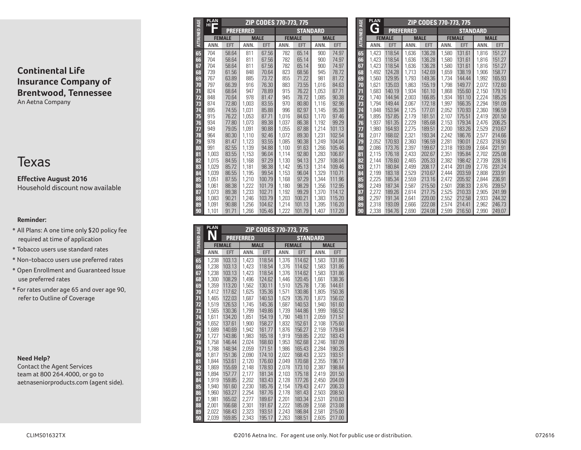# Texas

**Effective August 2016** Household discount now available

## **Reminder:**

- All Plans: A one time only \$20 policy fee required at time of application
- Tobacco users use standard rates
- Non-tobacco users use preferred rates
- Open Enrollment and Guaranteed Issue use preferred rates
- For rates under age 65 and over age 90, refer to Outline of Coverage

#### **Need Help?**

Contact the Agent Services team at 800 264.4000, or go to aetnaseniorproducts.com (agent side).

| <b>ATTAINED AGE</b> | <b>PLAN</b><br>HI T |                |                  | ZIP CODES 770-773, 775 |                |                 |                |                  |  |
|---------------------|---------------------|----------------|------------------|------------------------|----------------|-----------------|----------------|------------------|--|
|                     |                     |                | <b>PREFERRED</b> |                        |                | <b>STANDARD</b> |                |                  |  |
|                     |                     | <b>FEMALE</b>  |                  | <b>MALE</b>            |                | <b>FEMALE</b>   |                | <b>MALE</b>      |  |
|                     | ANN.                | <b>EFT</b>     | ANN.             | <b>EFT</b>             | ANN.           | <b>EFT</b>      | ANN.           | <b>EFT</b>       |  |
| 65                  | 704                 | 58.64          | 811              | 67.56                  | 782            | 65.14           | 900            | 74.97            |  |
| 66                  | 704                 | 58.64          | 811              | 67.56                  | 782            | 65.14           | 900            | 74.97            |  |
| 67                  | 704                 | 58.64          | 811              | 67.56                  | 782            | 65.14           | 900            | 74.97            |  |
| 68                  | 739                 | 61.56          | 848              | 70.64                  | 823            | 68.56           | 945            | 78.72            |  |
| 69                  | 767                 | 63.89          | 885              | 73.72                  | 855            | 71.22           | 981            | 81.72            |  |
| 70                  | 797                 | 66.39          | 916              | 76.30                  | 883            | 73.55           | 1,016          | 84.63            |  |
| 71                  | 824                 | 68.64          | 947              | 78.89                  | 915            | 76.22           | 1,053          | 87.71            |  |
| 72                  | 848                 | 70.64          | 978              | 81.47                  | 945            | 78.72           | 1,085          | 90.38            |  |
| 73                  | 874                 | 72.80          | 1,003            | 83.55                  | 970            | 80.80           | 1,116          | 92.96            |  |
| 74                  | 895                 | 74.55          | 1,031            | 85.88                  | 996            | 82.97           | 1,145          | 95.38            |  |
| 75                  | 915                 | 76.22          | 1.053            | 87.71                  | 1,016          | 84.63           | 1,170          | 97.46            |  |
| 76                  | 934                 | 77.80          | 1,073            | 89.38                  | 1,037          | 86.38           | 1,192          | 99.29            |  |
| 77                  | 949                 | 79.05          | 1.091            | 90.88                  | 1,055          | 87.88           | 1,214          | 101.13           |  |
| 78                  | 964                 | 80.30          | 1,110            | 92.46                  | 1,072          | 89.30           | 1,231          | 102.54           |  |
| 79                  | 978                 | 81.47          | 1,123            | 93.55                  | 1,085          | 90.38           | 1,249          | 104.04           |  |
| 80                  | 991                 | 82.55          | 1,139            | 94.88                  | 1,100          | 91.63           | 1,266          | 105.46           |  |
| 81                  | 1.003               | 83.55          | 1,153            | 96.04                  | 1,114          | 92.80           | 1,283          | 106.87           |  |
| 82                  | 1.015               | 84.55          | 1,168            | 97.29                  | 1,130          | 94.13           | 1,297          | 108.04           |  |
| 83                  | 1,029               | 85.72          | 1,181            | 98.38                  | 1,142          | 95.13           | 1,314          | 109.46           |  |
| 84                  | 1,039<br>1.051      | 86.55          | 1,195            | 99.54                  | 1,153          | 96.04           | 1,329<br>1,344 | 110.71           |  |
| 85                  | 1.061               | 87.55<br>88.38 | 1,210<br>1.222   | 100.79<br>101.79       | 1,168          | 97.29           | 1,356          | 111.96<br>112.95 |  |
| 86<br>87            | 1.073               | 89.38          | 1,233            | 102.71                 | 1,180<br>1,192 | 98.29<br>99.29  | 1,370          | 114.12           |  |
| 88                  | 1.083               | 90.21          | 1.246            | 103.79                 | 1,203          | 100.21          | 1,383          | 115.20           |  |
| 89                  | 1.091               | 90.88          | 1.256            | 104.62                 | 1,214          | 101.13          | 1,395          | 116.20           |  |
| 90                  | 1.101               | 91.71          | 1,266            | 105.46                 | 1,222          | 101.79          | 1,407          | 117.20           |  |

|                      | <b>PLAN</b> |               |                  | ZIP CODES 770-773, 775 |       |                 |       |             |
|----------------------|-------------|---------------|------------------|------------------------|-------|-----------------|-------|-------------|
|                      |             |               | <b>PREFERRED</b> |                        |       | <b>STANDARD</b> |       |             |
| <b>ATTAINED AGE</b>  |             | <b>FEMALE</b> |                  | <b>MALE</b>            |       | <b>FEMALE</b>   |       | <b>MALE</b> |
|                      | ANN.        | <b>EFT</b>    | ANN.             | <b>EFT</b>             | ANN.  | <b>EFT</b>      | ANN.  | <b>EFT</b>  |
| 65                   | 1.238       | 103.13        | 1.423            | 118.54                 | 1,376 | 114.62          | 1.583 | 131.86      |
| 66                   | 1.238       | 103.13        | 1.423            | 118.54                 | 1.376 | 114.62          | 1,583 | 131.86      |
| 67                   | 1,238       | 103.13        | 1,423            | 118.54                 | 1,376 | 114.62          | 1,583 | 131.86      |
| 68                   | 1.300       | 108.29        | 1,496            | 124.62                 | 1.446 | 120.45          | 1,661 | 138.36      |
| 69                   | 1,359       | 113.20        | 1,562            | 130.11                 | 1,510 | 125.78          | 1.736 | 144.61      |
| 70                   | 1,412       | 117.62        | 1,625            | 135.36                 | 1,571 | 130.86          | 1,805 | 150.36      |
| 71                   | 1,465       | 122.03        | 1,687            | 140.53                 | 1,629 | 135.70          | 1.873 | 156.02      |
| 72                   | 1.519       | 126.53        | 1.745            | 145.36                 | 1,687 | 140.53          | 1,940 | 161.60      |
| 73                   | 1.565       | 130.36        | 1.799            | 149.86                 | 1.739 | 144.86          | 1.999 | 166.52      |
| 74                   | 1,611       | 134.20        | 1,851            | 154.19                 | 1,790 | 149.11          | 2,059 | 171.51      |
| 75                   | 1,652       | 137.61        | 1.900            | 158.27                 | 1.832 | 152.61          | 2.108 | 175.60      |
| 76                   | 1,689       | 140.69        | 1,942            | 161.77                 | 1,876 | 156.27          | 2,159 | 179.84      |
| $\overline{\bf{77}}$ | 1,727       | 143.86        | 1,983            | 165.18                 | 1,919 | 159.85          | 2,202 | 183.43      |
| 78                   | 1.758       | 146.44        | 2.024            | 168.60                 | 1,953 | 162.68          | 2.246 | 187.09      |
| 79                   | 1.788       | 148.94        | 2.059            | 171.51                 | 1.986 | 165.43          | 2.284 | 190.26      |
| 80                   | 1.817       | 151.36        | 2,090            | 174.10                 | 2,022 | 168.43          | 2,323 | 193.51      |
| 81                   | 1.844       | 153.61        | 2,120            | 176.60                 | 2.049 | 170.68          | 2,355 | 196.17      |
| 82                   | 1.869       | 155.69        | 2.148            | 178.93                 | 2.078 | 173.10          | 2,387 | 198.84      |
| 83                   | 1.894       | 157.77        | 2,177            | 181.34                 | 2,103 | 175.18          | 2.419 | 201.50      |
| 84                   | 1.919       | 159.85        | 2,202            | 183.43                 | 2,128 | 177.26          | 2.450 | 204.09      |
| 85                   | 1.940       | 161.60        | 2.230            | 185.76                 | 2,154 | 179.43          | 2.477 | 206.33      |
| 86                   | 1,960       | 163.27        | 2,254            | 187.76                 | 2,178 | 181.43          | 2,503 | 208.50      |
| 87                   | 1.981       | 165.02        | 2.277            | 189.67                 | 2.201 | 183.34          | 2,531 | 210.83      |
| 88                   | 2,001       | 166.68        | 2,301            | 191.67                 | 2,222 | 185.09          | 2,558 | 213.08      |
| 89                   | 2.022       | 168.43        | 2,323            | 193.51                 | 2.243 | 186.84          | 2,581 | 215.00      |
| 90                   | 2.039       | 169.85        | 2.343            | 195.17                 | 2,263 | 188.51          | 2.605 | 217.00      |

|                     | <b>PLAN</b>    |                  |                  | ZIP CODES 770-773, 775 |                |                  |                |                  |
|---------------------|----------------|------------------|------------------|------------------------|----------------|------------------|----------------|------------------|
| ATTAINED AGE        | G              |                  | <b>PREFERRED</b> |                        |                | <b>STANDARD</b>  |                |                  |
|                     |                | <b>FEMALE</b>    |                  | <b>MALE</b>            |                | <b>FEMALE</b>    |                | <b>MALE</b>      |
|                     | ANN.           | <b>EFT</b>       | ANN.             | <b>EFT</b>             | ANN.           | <b>EFT</b>       | ANN.           | <b>EFT</b>       |
| 65                  | 1,423          | 118.54           | 1,636            | 136.28                 | 1,580          | 131.61           | 1.816          | 151.27           |
| 66                  | 1,423          | 118.54           | 1,636            | 136.28                 | 1,580          | 131.61           | 1.816          | 151.27           |
| 67                  | 1.423          | 118.54           | 1,636            | 136.28                 | 1,580          | 131.61           | 1,816          | 151.27           |
| 68                  | 1.492          | 124.28           | 1,713            | 142.69                 | 1,659          | 138.19           | 1,906          | 158.77           |
| 69                  | 1.560          | 129.95           | 1,793            | 149.36                 | 1,734          | 144.44           | 1,992          | 165.93           |
| 70                  | 1.621          | 135.03           | 1,863            | 155.19                 | 1,798          | 149.77           | 2,072          | 172.60           |
| 71                  | 1.683          | 140.19           | 1,934            | 161.10                 | 1,868          | 155.60           | 2,150          | 179.10           |
| 72                  | 1.740          | 144.94           | 2,003            | 166.85                 | 1,934          | 161.10           | 2,224          | 185.26           |
| 73                  | 1,794          | 149.44           | 2,067            | 172.18                 | 1,997          | 166.35           | 2,294          | 191.09           |
| 74                  | 1.848          | 153.94           | 2,125            | 177.01                 | 2,052          | 170.93           | 2,360          | 196.59           |
| 75                  | 1,895          | 157.85           | 2,179            | 181.51                 | 2,107          | 175.51           | 2,419          | 201.50           |
| 76                  | 1.937          | 161.35           | 2,229            | 185.68                 | 2,153          | 179.34           | 2,476          | 206.25           |
| $\overline{\bf{7}}$ | 1.980          | 164.93           | 2,275            | 189.51                 | 2,200          | 183.26           | 2,529          | 210.67           |
| 78                  | 2.017          | 168.02           | 2,321            | 193.34                 | 2,242          | 186.76           | 2,577          | 214.66           |
| 79                  | 2,052          | 170.93           | 2,360            | 196.59                 | 2,281          | 190.01           | 2,623          | 218.50           |
| 80                  | 2.086<br>2,115 | 173.76<br>176.18 | 2,397<br>2,433   | 199.67<br>202.67       | 2,318<br>2,351 | 193.09<br>195.84 | 2.664<br>2,702 | 221.91<br>225.08 |
| 81<br>82            | 2.144          | 178.60           | 2,465            | 205.33                 | 2,382          | 198.42           | 2,739          | 228.16           |
| 83                  | 2,171          | 180.84           | 2,499            | 208.17                 | 2,414          | 201.09           | 2,776          | 231.24           |
| 84                  | 2,199          | 183.18           | 2,529            | 210.67                 | 2,444          | 203.59           | 2,808          | 233.91           |
| 85                  | 2.225          | 185.34           | 2,559            | 213.16                 | 2,472          | 205.92           | 2.844          | 236.91           |
| 86                  | 2.249          | 187.34           | 2,587            | 215.50                 | 2,501          | 208.33           | 2,876          | 239.57           |
| 87                  | 2.272          | 189.26           | 2,614            | 217.75                 | 2,525          | 210.33           | 2.905          | 241.99           |
| 88                  | 2,297          | 191.34           | 2,641            | 220.00                 | 2,552          | 212.58           | 2,933          | 244.32           |
| 89                  | 2,318          | 193.09           | 2,666            | 222.08                 | 2,574          | 214.41           | 2.962          | 246.73           |
| 90                  | 2.338          | 194.76           | 2,690            | 224.08                 | 2,599          | 216.50           | 2,990          | 249.07           |
|                     |                |                  |                  |                        |                |                  |                |                  |

 **ZIP CODES 770-773, 775**

**PLAN G**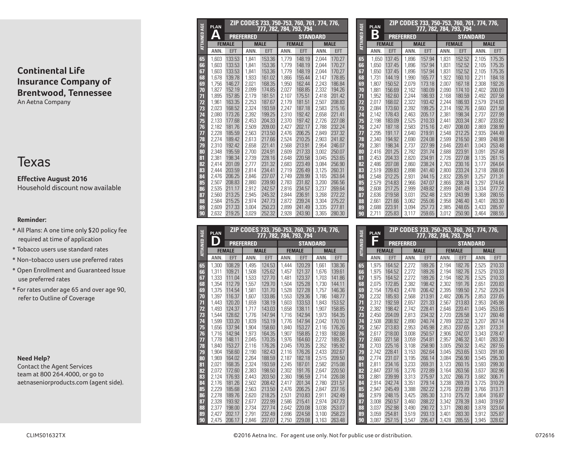# Texas

## **Effective August 2016** Household discount now available

## **Reminder:**

- All Plans: A one time only \$20 policy fee required at time of application
- Tobacco users use standard rates
- Non-tobacco users use preferred rates
- Open Enrollment and Guaranteed Issue use preferred rates
- For rates under age 65 and over age 90, refer to Outline of Coverage

## **Need Help?**

Contact the Agent Services team at 800 264.4000, or go to aetnaseniorproducts.com (agent side).

| <b>ATTAINED AGE</b> | <b>PLAN</b>    |                  | ZIP CODES 733, 750-753, 760, 761, 774, 776,<br>777, 782, 784, 793, 794 |                  |                |                  |                |                  |
|---------------------|----------------|------------------|------------------------------------------------------------------------|------------------|----------------|------------------|----------------|------------------|
|                     | Δ              |                  | <b>PREFERRED</b>                                                       |                  |                | <b>STANDARD</b>  |                |                  |
|                     |                | <b>FEMALE</b>    |                                                                        | <b>MALE</b>      |                | <b>FEMALE</b>    |                | <b>MALE</b>      |
|                     | ANN.           | <b>EFT</b>       | ANN.                                                                   | <b>EFT</b>       | ANN.           | <b>EFT</b>       | ANN.           | <b>EFT</b>       |
| 65                  | 1.603          | 133.53           | 1.841                                                                  | 153.36           | 1.779          | 148.19           | 2.044          | 170.27           |
| 66                  | 1,603          | 133.53           | 1.841                                                                  | 153.36           | 1.779          | 148.19           | 2.044          | 170.27           |
| 67                  | 1,603          | 133.53           | 1,841                                                                  | 153.36           | 1,779          | 148.19           | 2,044          | 170.27           |
| 68                  | 1.678          | 139.78           | 1.933                                                                  | 161.02           | 1.866          | 155.44           | 2.147          | 178.85           |
| 69                  | 1,756          | 146.27           | 2,021                                                                  | 168.35           | 1,950          | 162.44           | 2,243          | 186.84           |
| 70                  | 1.827          | 152.19           | 2,099                                                                  | 174.85           | 2,027          | 168.85           | 2,332          | 194.26           |
| 71                  | 1,895          | 157.85           | 2,179                                                                  | 181.51           | 2,107          | 175.51           | 2,418          | 201.42           |
| 72                  | 1.961          | 163.35           | 2.253                                                                  | 187.67           | 2.179          | 181.51           | 2.507          | 208.83           |
| 73                  | 2.023          | 168.52           | 2,324                                                                  | 193.59           | 2.247          | 187.18           | 2,583          | 215.16           |
| 74                  | 2,080          | 173.26           | 2,392                                                                  | 199.25           | 2,310          | 192.42           | 2,658          | 221.41           |
| 75                  | 2.133          | 177.68           | 2,453                                                                  | 204.33           | 2.370          | 197.42           | 2.726          | 227.08           |
| 76                  | 2,182          | 181.76           | 2,509                                                                  | 209.00           | 2,427          | 202.17           | 2,788          | 232.24           |
| 77                  | 2,228          | 185.59           | 2,563                                                                  | 213.50           | 2,476          | 206.25           | 2,849          | 237.32           |
| 78                  | 2.274          | 189.42           | 2,613                                                                  | 217.66           | 2,524          | 210.25           | 2.903          | 241.82           |
| 79                  | 2,310          | 192.42           | 2,658                                                                  | 221.41           | 2,568          | 213.91           | 2,954          | 246.07           |
| 80                  | 2.348          | 195.59           | 2,700                                                                  | 224.91           | 2,609          | 217.33           | 3,002          | 250.07           |
| 81                  | 2,381          | 198.34           | 2,739                                                                  | 228.16           | 2.648          | 220.58           | 3.045          | 253.65           |
| 82                  | 2.414          | 201.09           | 2,777                                                                  | 231.32           | 2,683          | 223.49           | 3,084          | 256.90           |
| 83                  | 2,444          | 203.59           | 2,814                                                                  | 234.41           | 2,719          | 226.49           | 3,125          | 260.31           |
| 84                  | 2,476          | 206.25           | 2,846                                                                  | 237.07           | 2,749          | 228.99           | 3,165          | 263.64           |
| 85                  | 2,507          | 208.83           | 2,880                                                                  | 239.90           | 2,783          | 231.82           | 3,200          | 266.56           |
| 86                  | 2,535          | 211.17           | 2.912                                                                  | 242.57           | 2,816          | 234.57           | 3,237          | 269.64           |
| 87                  | 2,560<br>2,584 | 213.25<br>215.25 | 2,945<br>2,974                                                         | 245.32<br>247.73 | 2,844<br>2,872 | 236.91<br>239.24 | 3,268          | 272.22<br>275.22 |
| 88<br>89            | 2,609          | 217.33           | 3.004                                                                  | 250.23           | 2,899          | 241.49           | 3,304<br>3,335 | 277.81           |
| 90                  | 2,632          | 219.25           | 3,029                                                                  | 252.32           | 2,928          | 243.90           | 3,365          | 280.30           |
|                     |                |                  |                                                                        |                  |                |                  |                |                  |

|                     | <b>PLAN</b> |               |                  | ZIP CODES 733, 750-753, 760, 761, 774, 776,<br>777, 782, 784, 793, 794 |       |                 |       |             | <b>ATTAINED AGE</b> | <b>PLAI</b> |
|---------------------|-------------|---------------|------------------|------------------------------------------------------------------------|-------|-----------------|-------|-------------|---------------------|-------------|
| <b>ATTAINED AGE</b> |             |               | <b>PREFERRED</b> |                                                                        |       | <b>STANDARD</b> |       |             |                     |             |
|                     |             | <b>FEMALE</b> |                  | <b>MALE</b>                                                            |       | <b>FEMALE</b>   |       | <b>MALE</b> |                     | F           |
|                     | ANN.        | <b>EFT</b>    | ANN.             | <b>EFT</b>                                                             | ANN.  | <b>EFT</b>      | ANN.  | <b>EFT</b>  |                     | ANN         |
| 65                  | 1.300       | 108.29        | 1,495            | 124.53                                                                 | 1.444 | 120.29          | 1,661 | 138.36      | 65                  | 1,97        |
| 66                  | 1.311       | 109.21        | 1,508            | 125.62                                                                 | 1.457 | 121.37          | 1.676 | 139.61      | 66                  | 1,97        |
| 67                  | 1.333       | 111.04        | 1.533            | 127.70                                                                 | 1.481 | 123.37          | 1.703 | 141.86      | 67                  | 1.97        |
| 68                  | 1,354       | 112.79        | 1,557            | 129.70                                                                 | 1,504 | 125.28          | 1,730 | 144.11      | 68                  | 2,07        |
| 69                  | 1.375       | 114.54        | 1,581            | 131.70                                                                 | 1,528 | 127.28          | 1,757 | 146.36      | 69                  | 2,15        |
| 70                  | 1,397       | 116.37        | 1,607            | 133.86                                                                 | 1,553 | 129.36          | 1,786 | 148.77      | 70                  | 2,23        |
| 71                  | 1,443       | 120.20        | 1,659            | 138.19                                                                 | 1,603 | 133.53          | 1,843 | 153.52      | 71                  | 2,31        |
| 72                  | 1,493       | 124.37        | 1,717            | 143.03                                                                 | 1,658 | 138.11          | 1,907 | 158.85      | 72                  | 2,38        |
| 73                  | 1.544       | 128.62        | 1,776            | 147.94                                                                 | 1.716 | 142.94          | 1.973 | 164.35      | 73                  | 2,45        |
| 74                  | 1,599       | 133.20        | 1,839            | 153.19                                                                 | 1,776 | 147.94          | 2,042 | 170.10      | 74                  | 2,50        |
| 75                  | 1.656       | 137.94        | 1.904            | 158.60                                                                 | 1.840 | 153.27          | 2.116 | 176.26      | 75                  | 2,56        |
| 76                  | 1,716       | 142.94        | 1,973            | 164.35                                                                 | 1,907 | 158.85          | 2,193 | 182.68      | 76                  | 2,61        |
| 77                  | 1,778       | 148.11        | 2,045            | 170.35                                                                 | 1,976 | 164.60          | 2,272 | 189.26      | 77                  | 2,66        |
| 78                  | 1.840       | 153.27        | 2,116            | 176.26                                                                 | 2.045 | 170.35          | 2,352 | 195.92      | 78                  | 2,70        |
| 79                  | 1.904       | 158.60        | 2,190            | 182.43                                                                 | 2,116 | 176.26          | 2,433 | 202.67      | 79                  | 2,74        |
| 80                  | 1,969       | 164.02        | 2.264            | 188.59                                                                 | 2,187 | 182.18          | 2,515 | 209.50      | 80                  | 2,77        |
| 81                  | 2,021       | 168.35        | 2,324            | 193.59                                                                 | 2,245 | 187.01          | 2,582 | 215.08      | 81                  | 2,81        |
| 82                  | 2.072       | 172.60        | 2,383            | 198.50                                                                 | 2,302 | 191.76          | 2.647 | 220.50      | 82                  | 2,84        |
| 83                  | 2,124       | 176.93        | 2,443            | 203.50                                                                 | 2,360 | 196.59          | 2,714 | 226.08      | 83                  | 2,88        |
| 84                  | 2,176       | 181.26        | 2,502            | 208.42                                                                 | 2,417 | 201.34          | 2,780 | 231.57      | 84                  | 2,91        |
| 85                  | 2,229       | 185.68        | 2,563            | 213.50                                                                 | 2,476 | 206.25          | 2.847 | 237.16      | 85                  | 2,94        |
| 86                  | 2.278       | 189.76        | 2,620            | 218.25                                                                 | 2,531 | 210.83          | 2,911 | 242.49      | 86                  | 2,97        |
| 87                  | 2.328       | 193.92        | 2,677            | 222.99                                                                 | 2.586 | 215.41          | 2.974 | 247.73      | 87                  | 3,00        |
| 88                  | 2,377       | 198.00        | 2,734            | 227.74                                                                 | 2,642 | 220.08          | 3,038 | 253.07      | 88                  | 3,03        |
| 89                  | 2.427       | 202.17        | 2,791            | 232.49                                                                 | 2,696 | 224.58          | 3.100 | 258.23      | 89                  | 3,05        |
| 90                  | 2,475       | 206.17        | 2,846            | 237.07                                                                 | 2,750 | 229.08          | 3,163 | 263.48      | 90                  | 3,08        |

| <b>ATTAINED AGE</b> | <b>PLAN</b>    |                  |                  |                  |                | ZIP CODES 733, 750-753, 760, 761, 774, 776,<br>777, 782, 784, 79 <u>3, 79</u> 4 |                |                  |
|---------------------|----------------|------------------|------------------|------------------|----------------|---------------------------------------------------------------------------------|----------------|------------------|
|                     | Β              |                  | <b>PREFERRED</b> |                  |                | <b>STANDARD</b>                                                                 |                |                  |
|                     |                | <b>FEMALE</b>    |                  | <b>MALE</b>      |                | <b>FEMALE</b>                                                                   |                | <b>MALE</b>      |
|                     | ANN.           | <b>EFT</b>       | ANN.             | <b>EFT</b>       | ANN.           | <b>EFT</b>                                                                      | ANN.           | <b>EFT</b>       |
| 65                  | 1,650          | 137.45           | 1,896            | 157.94           | 1,831          | 152.52                                                                          | 2,105          | 175.35           |
| 66                  | 1.650          | 137.45           | 1.896            | 157.94           | 1.831          | 152.52                                                                          | 2.105          | 175.35           |
| 67                  | 1.650          | 137.45           | 1.896            | 157.94           | 1.831          | 152.52                                                                          | 2.105          | 175.35           |
| 68                  | 1.731          | 144.19           | 1,990            | 165.77           | 1,922          | 160.10                                                                          | 2,211          | 184.18           |
| 69                  | 1,807          | 150.52           | 2,079            | 173.18           | 2,007          | 167.18                                                                          | 2,308          | 192.26           |
| 70                  | 1.881          | 156.69           | 2,162            | 180.09           | 2.090          | 174.10                                                                          | 2.402          | 200.09           |
| 71                  | 1,952          | 162.60           | 2,244            | 186.93           | 2,168          | 180.59                                                                          | 2,492          | 207.58           |
| 72                  | 2,017          | 168.02           | 2.322            | 193.42           | 2.244          | 186.93                                                                          | 2.579          | 214.83           |
| 73                  | 2.084          | 173.60           | 2.392            | 199.25           | 2.314          | 192.76                                                                          | 2,660          | 221.58           |
| 74                  | 2,142          | 178.43           | 2,463            | 205.17           | 2,381          | 198.34                                                                          | 2,737          | 227.99           |
| 75                  | 2,198          | 183.09           | 2,525            | 210.33           | 2.441          | 203.34                                                                          | 2,807          | 233.82           |
| 76                  | 2.247          | 187.18           | 2,583            | 215.16           | 2,497          | 208.00                                                                          | 2.869          | 238.99           |
| 77                  | 2.295          | 191.17           | 2.640            | 219.91           | 2.548          | 212.25                                                                          | 2.935          | 244.49           |
| 78                  | 2.340          | 194.92           | 2,690            | 224.08           | 2,599          | 216.50                                                                          | 2,989          | 248.98           |
| 79                  | 2.381          | 198.34           | 2.737            | 227.99           | 2.646          | 220.41                                                                          | 3.043          | 253.48           |
| 80                  | 2,416          | 201.25           | 2.782            | 231.74           | 2,688          | 223.91                                                                          | 3.091          | 257.48           |
| 81                  | 2.453          | 204.33           | 2.820            | 234.91           | 2.726          | 227.08                                                                          | 3,135          | 261.15           |
| 82                  | 2.486          | 207.08           | 2,860            | 238.24           | 2,763          | 230.16                                                                          | 3.177          | 264.64           |
| 83                  | 2.519          | 209.83           | 2.898            | 241.40           | 2,800          | 233.24                                                                          | 3.218          | 268.06           |
| 84                  | 2.548<br>2.579 | 212.25<br>214.83 | 2.931<br>2,966   | 244.15<br>247.07 | 2.832          | 235.91<br>238.74                                                                | 3.257<br>3.297 | 271.31<br>274.64 |
| 85<br>86            |                | 217.25           |                  | 249.82           | 2,866<br>2.899 | 241.49                                                                          | 3.334          | 277.72           |
| 87                  | 2.608<br>2,636 | 219.58           | 2.999<br>3.031   | 252.48           | 2.929          | 243.99                                                                          | 3,368          | 280.55           |
| 88                  | 2,661          | 221.66           | 3,062            | 255.06           | 2,958          | 246.40                                                                          | 3,401          | 283.30           |
| 89                  | 2.688          | 223.91           | 3.094            | 257.73           | 2.985          | 248.65                                                                          | 3.433          | 285.97           |
| 90                  | 2.711          | 225.83           | 3,117            | 259.65           | 3,012          | 250.90                                                                          | 3.464          | 288.55           |

| <b>ATTAINED AGE</b> | <b>PLAN</b>    |                  |                |                  |                | ZIP CODES 733, 750-753, 760, 761, 774, 776,<br>777, 782, 784, 793, 794 |                |                  |
|---------------------|----------------|------------------|----------------|------------------|----------------|------------------------------------------------------------------------|----------------|------------------|
|                     |                |                  | PREFERRED      |                  |                | <b>STANDARD</b>                                                        |                |                  |
|                     |                | <b>FEMALE</b>    |                | <b>MALE</b>      |                | <b>FEMALE</b>                                                          |                | <b>MALE</b>      |
|                     | ANN.           | <b>EFT</b>       | ANN.           | <b>EFT</b>       | ANN.           | <b>EFT</b>                                                             | ANN.           | <b>EFT</b>       |
| 65                  | 1.975          | 164.52           | 2.272          | 189.26           | 2.194          | 182.76                                                                 | 2.525          | 210.33           |
| 66                  | 1,975          | 164.52           | 2.272          | 189.26           | 2.194          | 182.76                                                                 | 2.525          | 210.33           |
| 67                  | 1.975          | 164.52           | 2,272          | 189.26           | 2,194          | 182.76                                                                 | 2,525          | 210.33           |
| 68                  | 2.075          | 172.85           | 2,382          | 198.42           | 2,302          | 191.76                                                                 | 2,651          | 220.83           |
| 69                  | 2,154          | 179.43           | 2.478          | 206.42           | 2,395          | 199.50                                                                 | 2.752          | 229.24           |
| 70                  | 2,232          | 185.93           | 2,568          | 213.91           | 2,482          | 206.75                                                                 | 2,853          | 237.65           |
| 71                  | 2,312          | 192.59           | 2.657          | 221.33           | 2,567          | 213.83                                                                 | 2.953          | 245.98           |
| 72                  | 2,382          | 198.42           | 2,742          | 228.41           | 2,646          | 220.41                                                                 | 3,045          | 253.65           |
| 73                  | 2.450          | 204.09           | 2,813          | 234.32           | 2.720          | 226.58                                                                 | 3,127          | 260.48           |
| 74                  | 2.508          | 208.92           | 2.890          | 240.74           | 2.789          | 232.32                                                                 | 3,207          | 267.14           |
| 75                  | 2,567          | 213.83           | 2.953          | 245.98           | 2.853          | 237.65                                                                 | 3,281          | 273.31           |
| 76                  | 2,617          | 218.00           | 3,008          | 250.57           | 2,906          | 242.07                                                                 | 3,343          | 278.47           |
| 77                  | 2,660          | 221.58           | 3,059          | 254.81           | 2.957          | 246.32                                                                 | 3,401          | 283.30           |
| 78                  | 2,703          | 225.16           | 3,108          | 258.90           | 3.005          | 250.32                                                                 | 3,452          | 287.55           |
| 79<br>80            | 2,742<br>2.774 | 228.41<br>231.07 | 3,153<br>3.195 | 262.64<br>266.14 | 3,045<br>3.084 | 253.65                                                                 | 3,503          | 291.80<br>295.30 |
| 81                  | 2,811          | 234.16           | 3,233          | 269.31           | 3,123          | 256.90<br>260.15                                                       | 3,545<br>3,593 | 299.30           |
| 82                  | 2.847          | 237.16           | 3,276          | 272.89           | 3,164          | 263.56                                                                 | 3,637          | 302.96           |
| 83                  | 2.881          | 239.99           | 3,313          | 275.97           | 3.202          | 266.73                                                                 | 3.682          | 306.71           |
| 84                  | 2.914          | 242.74           | 3,351          | 279.14           | 3.238          | 269.73                                                                 | 3.725          | 310.29           |
| 85                  | 2.947          | 245.49           | 3.388          | 282.22           | 3,276          | 272.89                                                                 | 3,766          | 313.71           |
| 86                  | 2.979          | 248.15           | 3.425          | 285.30           | 3.310          | 275.72                                                                 | 3.804          | 316.87           |
| 87                  | 3.008          | 250.57           | 3,460          | 288.22           | 3,342          | 278.39                                                                 | 3.840          | 319.87           |
| 88                  | 3,037          | 252.98           | 3,490          | 290.72           | 3,371          | 280.80                                                                 | 3,878          | 323.04           |
| 89                  | 3.059          | 254.81           | 3.519          | 293.13           | 3.401          | 283.30                                                                 | 3.912          | 325.87           |
| 90                  | 3,087          | 257.15           | 3,547          | 295.47           | 3,428          | 285.55                                                                 | 3,945          | 328.62           |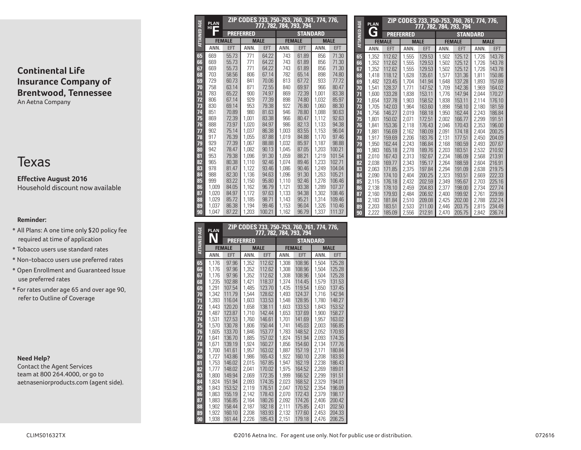# Texas

**Effective August 2016** Household discount now available

## **Reminder:**

- All Plans: A one time only \$20 policy fee required at time of application
- Tobacco users use standard rates
- Non-tobacco users use preferred rates
- Open Enrollment and Guaranteed Issue use preferred rates
- For rates under age 65 and over age 90, refer to Outline of Coverage

## **Need Help?**

Contact the Agent Services team at 800 264.4000, or go to aetnaseniorproducts.com (agent side).

| <b>ATTAINED AGE</b> | <b>PLAN</b><br>HП |               |                  |             | ZIP CODES 733, 750-753, 760, 761, 774, 776,<br>777, 782, 784, 793, 794 |                 |       |             |  |
|---------------------|-------------------|---------------|------------------|-------------|------------------------------------------------------------------------|-----------------|-------|-------------|--|
|                     |                   |               | <b>PREFERRED</b> |             |                                                                        | <b>STANDARD</b> |       |             |  |
|                     |                   | <b>FEMALE</b> |                  | <b>MALE</b> | <b>FEMALE</b>                                                          |                 |       | <b>MALE</b> |  |
|                     | ANN.              | <b>EFT</b>    | ANN.             | <b>EFT</b>  | ANN.                                                                   | EFT             | ANN.  | EFT         |  |
| 65                  | 669               | 55.73         | 771              | 64.22       | 743                                                                    | 61.89           | 856   | 71.30       |  |
| 66                  | 669               | 55.73         | 771              | 64.22       | 743                                                                    | 61.89           | 856   | 71.30       |  |
| 67                  | 669               | 55.73         | 771              | 64.22       | 743                                                                    | 61.89           | 856   | 71.30       |  |
| 68                  | 703               | 58.56         | 806              | 67.14       | 782                                                                    | 65.14           | 898   | 74.80       |  |
| 69                  | 729               | 60.73         | 841              | 70.06       | 813                                                                    | 67.72           | 933   | 77.72       |  |
| 70                  | 758               | 63.14         | 871              | 72.55       | 840                                                                    | 69.97           | 966   | 80.47       |  |
| 71                  | 783               | 65.22         | 900              | 74.97       | 869                                                                    | 72.39           | 1.001 | 83.38       |  |
| 72                  | 806               | 67.14         | 929              | 77.39       | 898                                                                    | 74.80           | 1.032 | 85.97       |  |
| 73                  | 830               | 69.14         | 953              | 79.38       | 922                                                                    | 76.80           | 1.060 | 88.30       |  |
| 74                  | 851               | 70.89         | 980              | 81.63       | 946                                                                    | 78.80           | 1,088 | 90.63       |  |
| 75                  | 869               | 72.39         | 1,001            | 83.38       | 966                                                                    | 80.47           | 1.112 | 92.63       |  |
| 76                  | 888               | 73.97         | 1.020            | 84.97       | 986                                                                    | 82.13           | 1.133 | 94.38       |  |
| $\overline{1}$      | 902               | 75.14         | 1.037            | 86.38       | 1,003                                                                  | 83.55           | 1.153 | 96.04       |  |
| 78                  | 917               | 76.39         | 1,055            | 87.88       | 1.019                                                                  | 84.88           | 1,170 | 97.46       |  |
| 79                  | 929               | 77.39         | 1.067            | 88.88       | 1.032                                                                  | 85.97           | 1.187 | 98.88       |  |
| 80                  | 942               | 78.47         | 1,082            | 90.13       | 1,045                                                                  | 87.05           | 1,203 | 100.21      |  |
| 81                  | 953               | 79.38         | 1.096            | 91.30       | 1.059                                                                  | 88.21           | 1,219 | 101.54      |  |
| 82                  | 965               | 80.38         | 1.110            | 92.46       | 1.074                                                                  | 89.46           | 1.233 | 102.71      |  |
| 83                  | 978               | 81.47         | 1,122            | 93.46       | 1,086                                                                  | 90.46           | 1,249 | 104.04      |  |
| 84                  | 988               | 82.30         | 1.136            | 94.63       | 1.096                                                                  | 91.30           | 1.263 | 105.21      |  |
| 85                  | 999               | 83.22         | 1.150            | 95.80       | 1.110                                                                  | 92.46           | 1.278 | 106.46      |  |
| 86                  | 1.009             | 84.05         | 1,162            | 96.79       | 1,121                                                                  | 93.38           | 1,289 | 107.37      |  |
| 87                  | 1,020             | 84.97         | 1,172            | 97.63       | 1,133                                                                  | 94.38           | 1,302 | 108.46      |  |
| 88                  | 1.029             | 85.72         | 1.185            | 98.71       | 1.143                                                                  | 95.21           | 1.314 | 109.46      |  |
| 89                  | 1.037             | 86.38         | 1.194            | 99.46       | 1,153                                                                  | 96.04           | 1,326 | 110.46      |  |
| 90                  | 1.047             | 87.22         | 1,203            | 100.21      | 1,162                                                                  | 96.79           | 1,337 | 111.37      |  |

| <b>ATTAINED AGE</b> | <b>PLAN</b>    | ZIP CODES 733, 750-753, 760, 761, 774, 776,<br>777, 782, 784, 793, 794 |                  |                  |                |                  |                |                  |  |  |  |
|---------------------|----------------|------------------------------------------------------------------------|------------------|------------------|----------------|------------------|----------------|------------------|--|--|--|
|                     |                |                                                                        | <b>PREFERRED</b> |                  |                | <b>STANDARD</b>  |                |                  |  |  |  |
|                     |                | <b>FEMALE</b>                                                          |                  | <b>MALE</b>      |                | <b>FEMALE</b>    | <b>MALE</b>    |                  |  |  |  |
|                     | ANN.           | EFT                                                                    | ANN.             | <b>EFT</b>       | ANN.           | <b>EFT</b>       | ANN.           | EFT              |  |  |  |
| 65                  | 1.176          | 97.96                                                                  | 1,352            | 112.62           | 1.308          | 108.96           | 1.504          | 125.28           |  |  |  |
| 66                  | 1.176          | 97.96                                                                  | 1.352            | 112.62           | 1.308          | 108.96           | 1.504          | 125.28           |  |  |  |
| 67                  | 1.176          | 97.96                                                                  | 1,352            | 112.62           | 1,308          | 108.96           | 1.504          | 125.28           |  |  |  |
| 68                  | 1.235          | 102.88                                                                 | 1.421            | 118.37           | 1,374          | 114.45           | 1.579          | 131.53           |  |  |  |
| 69                  | 1.291          | 107.54                                                                 | 1.485            | 123.70           | 1.435          | 119.54           | 1.650          | 137.45           |  |  |  |
| 70                  | 1.342          | 111.79                                                                 | 1.544            | 128.62           | 1.493          | 124.37           | 1.716          | 142.94           |  |  |  |
| 71                  | 1.393          | 116.04                                                                 | 1.603            | 133.53           | 1.548          | 128.95           | 1.780          | 148.27           |  |  |  |
| 72                  | 1.443          | 120.20                                                                 | 1.658            | 138.11           | 1,603          | 133.53           | 1.843          | 153.52           |  |  |  |
| 73                  | 1.487          | 123.87                                                                 | 1.710            | 142.44           | 1.653          | 137.69           | 1.900          | 158.27           |  |  |  |
| 74                  | 1.531          | 127.53                                                                 | 1,760            | 146.61           | 1.701          | 141.69           | 1.957          | 163.02           |  |  |  |
| 75                  | 1.570          | 130.78                                                                 | 1.806            | 150.44           | 1.741          | 145.03           | 2.003          | 166.85           |  |  |  |
| 76                  | 1,605          | 133.70                                                                 | 1.846            | 153.77           | 1,783          | 148.52           | 2,052          | 170.93           |  |  |  |
| 77                  | 1.641          | 136.70                                                                 | 1.885            | 157.02           | 1.824          | 151.94           | 2.093          | 174.35           |  |  |  |
| 78                  | 1.671          | 139.19                                                                 | 1.924            | 160.27           | 1.856          | 154.60           | 2.134          | 177.76           |  |  |  |
| 79                  | 1.700          | 141.61                                                                 | 1.957            | 163.02           | 1.887          | 157.19           | 2.171          | 180.84           |  |  |  |
| 80                  | 1.727          | 143.86                                                                 | 1.986            | 165.43           | 1.922          | 160.10           | 2.208          | 183.93           |  |  |  |
| 81                  | 1.753          | 146.02                                                                 | 2.015            | 167.85           | 1.947          | 162.19           | 2,238          | 186.43           |  |  |  |
| 82                  | 1.777          | 148.02                                                                 | 2.041            | 170.02           | 1.975          | 164.52           | 2.269          | 189.01           |  |  |  |
| 83                  | 1.800<br>1.824 | 149.94<br>151.94                                                       | 2.069            | 172.35<br>174.35 | 1.999          | 166.52<br>168.52 | 2.299<br>2,329 | 191.51<br>194.01 |  |  |  |
| 84<br>85            | 1,843          | 153.52                                                                 | 2,093<br>2.119   | 176.51           | 2,023<br>2.047 | 170.52           | 2.354          | 196.09           |  |  |  |
| 86                  | 1,863          | 155.19                                                                 | 2,142            | 178.43           | 2,070          | 172.43           | 2,379          | 198.17           |  |  |  |
| 87                  | 1.883          | 156.85                                                                 | 2,164            | 180.26           | 2.092          | 174.26           | 2.406          | 200.42           |  |  |  |
| 88                  | 1,902          | 158.44                                                                 | 2,187            | 182.18           | 2,111          | 175.85           | 2,431          | 202.50           |  |  |  |
| 89                  | 1.922          | 160.10                                                                 | 2,208            | 183.93           | 2,132          | 177.60           | 2,453          | 204.33           |  |  |  |
| 90                  | 1,938          | 161.44                                                                 | 2,226            | 185.43           | 2,151          | 179.18           | 2,476          | 206.25           |  |  |  |

| <b>ATTAINED AGE</b> | <b>PLAN</b>        |                  |                  | 777, 782, 784, 793, 794 |                | ZIP CODES 733, 750-753, 760, 761, 774, 776, |                |                  |
|---------------------|--------------------|------------------|------------------|-------------------------|----------------|---------------------------------------------|----------------|------------------|
|                     | G                  |                  | <b>PREFERRED</b> |                         |                | <b>STANDARD</b>                             |                |                  |
|                     |                    | <b>FEMALE</b>    |                  | <b>MALE</b>             |                | <b>FEMALE</b>                               |                | <b>MALE</b>      |
|                     | ANN.<br><b>EFT</b> |                  | ANN.             | <b>EFT</b>              | ANN.           | <b>EFT</b>                                  | ANN.           | <b>EFT</b>       |
| 65                  | 1.352              | 112.62           | 1,555            | 129.53                  | 1.502          | 125.12                                      | 1.726          | 143.78           |
| 66                  | 1.352              | 112.62           | 1.555            | 129.53                  | 1.502          | 125.12                                      | 1.726          | 143.78           |
| 67                  | 1.352              | 112.62           | 1.555            | 129.53                  | 1.502          | 125.12                                      | 1.726          | 143.78           |
| 68                  | 1,418              | 118.12           | 1,628            | 135.61                  | 1,577          | 131.36                                      | 1,811          | 150.86           |
| 69                  | 1.482              | 123.45           | 1.704            | 141.94                  | 1.648          | 137.28                                      | 1.893          | 157.69           |
| 70                  | 1.541              | 128.37           | 1.771            | 147.52                  | 1.709          | 142.36                                      | 1.969          | 164.02           |
| 71                  | 1,600              | 133.28           | 1,838            | 153.11                  | 1,776          | 147.94                                      | 2,044          | 170.27           |
| 72                  | 1.654              | 137.78           | 1.903            | 158.52                  | 1.838          | 153.11                                      | 2.114          | 176.10           |
| 73                  | 1.705              | 142.03           | 1.964            | 163.60                  | 1,898          | 158.10                                      | 2.180          | 181.59           |
| 74                  | 1.756              | 146.27           | 2,019            | 168.18                  | 1,950          | 162.44                                      | 2.243          | 186.84           |
| 75                  | 1.801              | 150.02           | 2.071            | 172.51                  | 2.002          | 166.77                                      | 2,299          | 191.51           |
| 76                  | 1.841              | 153.36           | 2.118            | 176.43                  | 2.046          | 170.43                                      | 2.353          | 196.00           |
| 77                  | 1.881              | 156.69           | 2,162            | 180.09                  | 2,091          | 174.18                                      | 2.404          | 200.25           |
| 78<br>79            | 1.917<br>1,950     | 159.69<br>162.44 | 2.206<br>2,243   | 183.76<br>186.84        | 2,131<br>2,168 | 177.51<br>180.59                            | 2.450<br>2,493 | 204.09<br>207.67 |
| 80                  | 1.983              | 165.18           | 2.278            | 189.76                  | 2.203          | 183.51                                      | 2,532          | 210.92           |
| 81                  | 2,010              | 167.43           | 2,313            | 192.67                  | 2,234          | 186.09                                      | 2,568          | 213.91           |
| 82                  | 2,038              | 169.77           | 2,343            | 195.17                  | 2,264          | 188.59                                      | 2,604          | 216.91           |
| 83                  | 2.063              | 171.85           | 2.375            | 197.84                  | 2.294          | 191.09                                      | 2.638          | 219.75           |
| 84                  | 2.090              | 174.10           | 2.404            | 200.25                  | 2,323          | 193.51                                      | 2,669          | 222.33           |
| 85                  | 2.115              | 176.18           | 2.432            | 202.59                  | 2,349          | 195.67                                      | 2.703          | 225.16           |
| 86                  | 2.138              | 178.10           | 2.459            | 204.83                  | 2.377          | 198.00                                      | 2,734          | 227.74           |
| 87                  | 2,160              | 179.93           | 2.484            | 206.92                  | 2.400          | 199.92                                      | 2,761          | 229.99           |
| 88                  | 2,183              | 181.84           | 2,510            | 209.08                  | 2,425          | 202.00                                      | 2,788          | 232.24           |
| 89                  | 2,203              | 183.51           | 2,533            | 211.00                  | 2.446          | 203.75                                      | 2.815          | 234.49           |
| 90                  | 2.222              | 185.09           | 2.556            | 212.91                  | 2.470          | 205.75                                      | 2.842          | 236.74           |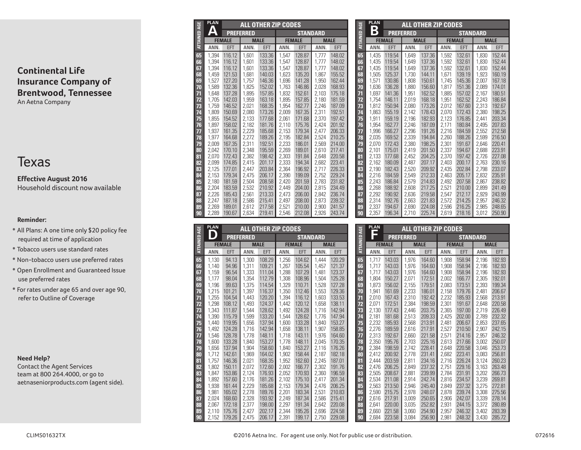# Texas

**Effective August 2016** Household discount now available

## **Reminder:**

- All Plans: A one time only \$20 policy fee required at time of application
- Tobacco users use standard rates
- Non-tobacco users use preferred rates
- Open Enrollment and Guaranteed Issue use preferred rates
- For rates under age 65 and over age 90, refer to Outline of Coverage

#### **Need Help?**

Contact the Agent Services team at 800 264.4000, or go to aetnaseniorproducts.com (agent side).

|                     | <b>PLAN</b> | <b>ALL OTHER ZIP CODES</b> |                  |             |       |                 |       |             |  |  |  |  |
|---------------------|-------------|----------------------------|------------------|-------------|-------|-----------------|-------|-------------|--|--|--|--|
| <b>ATTAINED AGE</b> | Δ           |                            | <b>PREFERRED</b> |             |       | <b>STANDARD</b> |       |             |  |  |  |  |
|                     |             | <b>FEMALE</b>              |                  | <b>MALE</b> |       | <b>FEMALE</b>   |       | <b>MALE</b> |  |  |  |  |
|                     | ANN.        | EFT                        | ANN.             | <b>EFT</b>  | ANN.  | <b>EFT</b>      | ANN.  | EFT         |  |  |  |  |
| 65                  | 1,394       | 116.12                     | 1,601            | 133.36      | 1.547 | 128.87          | 1,777 | 148.02      |  |  |  |  |
| 66                  | 1.394       | 116.12                     | 1.601            | 133.36      | 1.547 | 128.87          | 1.777 | 148.02      |  |  |  |  |
| 67                  | 1,394       | 116.12                     | 1,601            | 133.36      | 1,547 | 128.87          | 1,777 | 148.02      |  |  |  |  |
| 68                  | 1.459       | 121.53                     | 1,681            | 140.03      | 1,623 | 135.20          | 1,867 | 155.52      |  |  |  |  |
| 69                  | 1.527       | 127.20                     | 1,757            | 146.36      | 1,696 | 141.28          | 1.950 | 162.44      |  |  |  |  |
| 70                  | 1.589       | 132.36                     | 1.825            | 152.02      | 1,763 | 146.86          | 2,028 | 168.93      |  |  |  |  |
| 71                  | 1.648       | 137.28                     | 1,895            | 157.85      | 1,832 | 152.61          | 2,103 | 175.18      |  |  |  |  |
| 72                  | 1,705       | 142.03                     | 1,959            | 163.18      | 1,895 | 157.85          | 2,180 | 181.59      |  |  |  |  |
| 73                  | 1,759       | 146.52                     | 2,021            | 168.35      | 1,954 | 162.77          | 2,246 | 187.09      |  |  |  |  |
| 74                  | 1.809       | 150.69                     | 2,080            | 173.26      | 2,009 | 167.35          | 2,311 | 192.51      |  |  |  |  |
| 75                  | 1.855       | 154.52                     | 2.133            | 177.68      | 2,061 | 171.68          | 2.370 | 197.42      |  |  |  |  |
| 76                  | 1.897       | 158.02                     | 2,182            | 181.76      | 2,110 | 175.76          | 2.424 | 201.92      |  |  |  |  |
| 77                  | 1.937       | 161.35                     | 2,229            | 185.68      | 2.153 | 179.34          | 2.477 | 206.33      |  |  |  |  |
| 78                  | 1.977       | 164.68                     | 2,272            | 189.26      | 2,195 | 182.84          | 2,524 | 210.25      |  |  |  |  |
| 79                  | 2,009       | 167.35                     | 2,311            | 192.51      | 2,233 | 186.01          | 2,569 | 214.00      |  |  |  |  |
| 80                  | 2.042       | 170.10                     | 2,348            | 195.59      | 2,269 | 189.01          | 2.610 | 217.41      |  |  |  |  |
| 81                  | 2,070       | 172.43                     | 2,382            | 198.42      | 2,303 | 191.84          | 2,648 | 220.58      |  |  |  |  |
| 82                  | 2,099       | 174.85                     | 2,415            | 201.17      | 2,333 | 194.34          | 2,682 | 223.41      |  |  |  |  |
| 83                  | 2,125       | 177.01                     | 2,447            | 203.84      | 2,364 | 196.92          | 2,717 | 226.33      |  |  |  |  |
| 84                  | 2,153       | 179.34                     | 2,475            | 206.17      | 2,390 | 199.09          | 2.752 | 229.24      |  |  |  |  |
| 85                  | 2,180       | 181.59                     | 2,504            | 208.58      | 2.420 | 201.59          | 2,783 | 231.82      |  |  |  |  |
| 86                  | 2.204       | 183.59                     | 2,532            | 210.92      | 2.449 | 204.00          | 2.815 | 234.49      |  |  |  |  |
| 87                  | 2,226       | 185.43                     | 2,561            | 213.33      | 2,473 | 206.00          | 2,842 | 236.74      |  |  |  |  |
| 88                  | 2.247       | 187.18                     | 2,586            | 215.41      | 2.497 | 208.00          | 2.873 | 239.32      |  |  |  |  |
| 89                  | 2.269       | 189.01                     | 2.612            | 217.58      | 2,521 | 210.00          | 2,900 | 241.57      |  |  |  |  |
| 90                  | 2,289       | 190.67                     | 2,634            | 219.41      | 2,546 | 212.08          | 2,926 | 243.74      |  |  |  |  |

| <b>AGE</b> | <b>PLAN</b><br>ALL OTHER ZIP CODES |               |                  |             |            |                 |            |             | ă        | <b>PLAN</b> |               |           | ALL OTHER ZIP CODES |                |                 |            |             |
|------------|------------------------------------|---------------|------------------|-------------|------------|-----------------|------------|-------------|----------|-------------|---------------|-----------|---------------------|----------------|-----------------|------------|-------------|
|            |                                    |               | <b>PREFERRED</b> |             |            | <b>STANDARD</b> |            |             |          |             |               | PREFERRED |                     |                | <b>STANDARD</b> |            |             |
| ATTAINED   |                                    | <b>FEMALE</b> |                  | <b>MALE</b> |            | <b>FEMALE</b>   |            | <b>MALE</b> | ATTAINED |             | <b>FEMALE</b> |           | <b>MALE</b>         |                | <b>FEMALE</b>   |            | <b>MALE</b> |
|            | <b>ANN</b>                         | <b>EFT</b>    | ANN.             | <b>EFT</b>  | <b>ANN</b> | <b>EFT</b>      | <b>ANN</b> | EFT         |          | <b>ANN</b>  | EFT           | ANN.      | <b>EFT</b>          | <b>ANN</b>     | <b>EFT</b>      | <b>ANN</b> | <b>EFT</b>  |
| 65         | 1.130                              | 94.13         | 1,300            | 108.29      | 1,256      | 104.62          | 1,444      | 120.29      | 65       | 1.717       | 143.03        | 1,976     | 164.60              | 1,908          | 158.94          | 2,196      | 182.93      |
| 66         | 1,140                              | 94.96         | 1,311            | 109.21      | 1.267      | 105.54          | 1,457      | 121.37      | 66       | 1,717       | 143.03        | 1,976     | 164.60              | 1,908          | 158.94          | 2,196      | 182.93      |
| 67         | 1.159                              | 96.54         | 1.333            | 111.04      | 1.288      | 107.29          | 1.48'      | 123.37      | 67       | 1.717       | 143.03        | 1.976     | 164.60              | 1,908          | 158.94          | 2.196      | 182.93      |
| 68         | 1.177                              | 98.04         | 1.354            | 112.79      | 1.308      | 108.96          | 1.504      | 125.28      | 68       | 1.804       | 150.27        | 2.071     | 172.51              | 2.002          | 166.77          | 2.305      | 192.01      |
| 69         | 1,196                              | 99.63         | 1,375            | 114.54      | 1,329      | 110.71          | 1,528      | 127.28      | 69       | 1.873       | 156.02        | 2,155     | 179.51              | 2,083          | 173.51          | 2,393      | 199.34      |
| 70         | 1,215                              | 101.21        | 1.397            | 116.37      | 1.350      | 112.46          | 1.553      | 129.36      | 70       | 1,941       | 161.69        | 2.233     | 186.01              | 2.158          | 179.76          | 2.481      | 206.67      |
| 71         | 1.255                              | 104.54        | 1.443            | 120.20      | 1,394      | 116.12          | 1,603      | 133.53      | 71       | 2.010       | 167.43        | 2.310     | 192.42              | 2,232          | 185.93          | 2.568      | 213.91      |
| 72         | 1,298                              | 108.12        | 1.493            | 124.37      | 1.442      | 120.12          | 1.658      | 138.11      | 72       | 2.071       | 172.51        | 2,384     | 198.59              | 2,301          | 191.67          | 2,648      | 220.58      |
| 73         | 1.343                              | 111.87        | 1.544            | 128.62      | 1,492      | 124.28          | 1.716      | 142.94      | 73       | 2.130       | 177.43        | 2.446     | 203.75              | 2,365          | 197.00          | 2.719      | 226.49      |
| 74         | 1.390                              | 115.79        | 1.599            | 133.20      | 1.544      | 128.62          | 1.776      | 147.94      | 74       | 2.181       | 181.68        | 2.513     | 209.33              | 2.425          | 202.00          | 2.789      | 232.32      |
| 75         | 1.440                              | 119.95        | 1,656            | 137.94      | 1.600      | 133.28          | 1.840      | 153.27      | 75       | 2,232       | 185.93        | 2,568     | 213.91              | 2,481          | 206.67          | 2,853      | 237.65      |
| 76         | 1.492                              | 124.28        | 1.716            | 142.94      | 1.658      | 138.11          | 1.907      | 158.85      | 76       | 2.276       | 189.59        | 2.616     | 217.91              | 2.527          | 210.50          | 2.907      | 242.15      |
| 77         | 1.546                              | 128.78        | 1.778            | 148.11      | 1.718      | 143.11          | 1,976      | 164.60      | 77       | 2.313       | 192.67        | 2.660     | 221.58              | $2.57^{\circ}$ | 214.16          | 2,957      | 246.32      |
| 78         | 1.600                              | 133.28        | 1.840            | 153.27      | 1.778      | 148.11          | 2.045      | 170.35      | 78       | 2,350       | 195.76        | 2.703     | 225.16              | 2,613          | 217.66          | 3.002      | 250.07      |
| 79         | 1,656                              | 137.94        | 1,904            | 158.60      | 1.840      | 153.27          | 2.116      | 176.26      | 79       | 2.384       | 198.59        | 2.742     | 228.41              | 2.648          | 220.58          | 3.046      | 253.73      |
| 80         | 1.712                              | 142.61        | 1.969            | 164.02      | 1.902      | 158.44          | 2.187      | 182.18      | 80       | 2.412       | 200.92        | 2.778     | 231.41              | 2.682          | 223.41          | 3.083      | 256.81      |
| 81         | 1.757                              | 146.36        | 2,021            | 168.35      | 1,952      | 162.60          | 2,245      | 187.01      | 81       | 2.444       | 203.59        | 2.811     | 234.16              | 2.716          | 226.24          | 3.124      | 260.23      |
| 82         | 1.802                              | 150.11        | 2.072            | 172.60      | 2.002      | 166.77          | 2,302      | 191.76      | 82       | 2.476       | 206.25        | 2.849     | 237.32              | $2.75^{\circ}$ | 229.16          | 3.163      | 263.48      |
| 83         | 1.847                              | 153.86        | 2.124            | 176.93      | 2.052      | 170.93          | 2,360      | 196.59      | 83       | 2.505       | 208.67        | 2.881     | 239.99              | 2.784          | 231.91          | 3.202      | 266.73      |
| 84         | 1.892                              | 157.60        | 2.176            | 181.26      | 2.102      | 175.10          | 2.417      | 201.34      | 84       | 2,534       | 211.08        | 2.914     | 242.74              | 2.816          | 234.57          | 3,239      | 269.81      |
| 85         | 1.938                              | 161.44        | 2,229            | 185.68      | 2.153      | 179.34          | 2,476      | 206.25      | 85       | 2.563       | 213.50        | 2,946     | 245.40              | 2.849          | 237.32          | 3,275      | 272.81      |
| 86         | 1.981                              | 165.02        | 2,278            | 189.76      | 2.201      | 183.34          | 2,531      | 210.83      | 86       | 2,590       | 215.75        | 2.978     | 248.07              | 2.878          | 239.74          | 3,308      | 275.56      |
| 87         | 2.024                              | 168,60        | 2.328            | 193.92      | 2,249      | 187.34          | 2,586      | 215.41      | 87       | 2.616       | 217.91        | 3.009     | 250.65              | 2.906          | 242.07          | 3,339      | 278.14      |
| 88         | 2.067                              | 172.18        | 2.377            | 198.00      | 2,297      | 191.34          | 2.642      | 220.08      | 88       | 2.641       | 220.00        | 3.035     | 252.82              | 2,931          | 244.15          | 3,372      | 280.89      |
| 89         | 2.110                              | 175.76        | 2.427            | 202.17      | 2.344      | 195.26          | 2.696      | 224.58      | 89       | 2.660       | 221.58        | 3.060     | 254.90              | 2.957          | 246.32          | 3.402      | 283.39      |
| 90         | 2.152                              | 179.26        | 2.475            | 206.17      | 2.39       | 199.17          | 2.750      | 229.08      | 90       | 2.684       | 223.58        | 3.084     | 256.90              | 2,98           | 248.32          | 3.430      | 285.72      |

|                     | <b>PLAN</b><br><b>ALL OTHER ZIP CODES</b> |               |                    |        |       |                 |             |            |  |  |  |  |
|---------------------|-------------------------------------------|---------------|--------------------|--------|-------|-----------------|-------------|------------|--|--|--|--|
| <b>ATTAINED AGE</b> | B                                         |               | <b>PREFERRED</b>   |        |       | <b>STANDARD</b> |             |            |  |  |  |  |
|                     |                                           | <b>FEMALE</b> | <b>MALE</b>        |        |       | <b>FEMALE</b>   | <b>MALE</b> |            |  |  |  |  |
|                     | ANN.                                      | <b>EFT</b>    | ANN.<br><b>EFT</b> |        | ANN.  | <b>EFT</b>      | ANN.        | <b>EFT</b> |  |  |  |  |
| 65                  | 1,435                                     | 119.54        | 1.649              | 137.36 | 1.592 | 132.61          | 1,830       | 152.44     |  |  |  |  |
| 66                  | 1,435                                     | 119.54        | 1.649              | 137.36 | 1,592 | 132.61          | 1.830       | 152.44     |  |  |  |  |
| 67                  | 1.435                                     | 119.54        | 1.649              | 137.36 | 1,592 | 132.61          | 1.830       | 152.44     |  |  |  |  |
| 68                  | 1.505                                     | 125.37        | 1.730              | 144.11 | 1,671 | 139.19          | 1,923       | 160.19     |  |  |  |  |
| 69                  | 1.571                                     | 130.86        | 1.808              | 150.61 | 1.745 | 145.36          | 2.007       | 167.18     |  |  |  |  |
| 70                  | 1,636                                     | 136.28        | 1.880              | 156.60 | 1,817 | 151.36          | 2.089       | 174.01     |  |  |  |  |
| 71                  | 1.697                                     | 141.36        | 1,951              | 162.52 | 1,885 | 157.02          | 2,167       | 180.51     |  |  |  |  |
| 72                  | 1,754                                     | 146.11        | 2.019              | 168.18 | 1.951 | 162.52          | 2.243       | 186.84     |  |  |  |  |
| 73                  | 1,812                                     | 150.94        | 2,080              | 173.26 | 2,012 | 167.60          | 2,313       | 192.67     |  |  |  |  |
| 74                  | 1,863                                     | 155.19        | 2.142              | 178.43 | 2.070 | 172.43          | 2,380       | 198.25     |  |  |  |  |
| 75                  | 1.911                                     | 159.19        | 2.196              | 182.93 | 2.123 | 176.85          | 2.441       | 203.34     |  |  |  |  |
| 76                  | 1,954                                     | 162.77        | 2,246              | 187.09 | 2,171 | 180.84          | 2,495       | 207.83     |  |  |  |  |
| $\overline{\bf{7}}$ | 1,996                                     | 166.27        | 2,296              | 191.26 | 2,216 | 184.59          | 2,552       | 212.58     |  |  |  |  |
| 78                  | 2,035                                     | 169.52        | 2,339              | 194.84 | 2,260 | 188.26          | 2,599       | 216.50     |  |  |  |  |
| 79                  | 2.070                                     | 172.43        | 2,380              | 198.25 | 2,301 | 191.67          | 2,646       | 220.41     |  |  |  |  |
| 80                  | 2,101                                     | 175.01        | 2.419              | 201.50 | 2,337 | 194.67          | 2,688       | 223.91     |  |  |  |  |
| 81                  | 2,133                                     | 177.68        | 2,452              | 204.25 | 2,370 | 197.42          | 2,726       | 227.08     |  |  |  |  |
| 82                  | 2,162                                     | 180.09        | 2,487              | 207.17 | 2,403 | 200.17          | 2,763       | 230.16     |  |  |  |  |
| 83                  | 2,190                                     | 182.43        | 2,520              | 209.92 | 2,435 | 202.84          | 2.798       | 233.07     |  |  |  |  |
| 84                  | 2,216                                     | 184.59        | 2,549              | 212.33 | 2,463 | 205.17          | 2,832       | 235.91     |  |  |  |  |
| 85                  | 2.243                                     | 186.84        | 2,579              | 214.83 | 2,492 | 207.58          | 2,867       | 238.82     |  |  |  |  |
| 86                  | 2.268                                     | 188.92        | 2.608              | 217.25 | 2,521 | 210.00          | 2.899       | 241.49     |  |  |  |  |
| 87                  | 2.292                                     | 190.92        | 2,636              | 219.58 | 2,547 | 212.17          | 2,929       | 243.99     |  |  |  |  |
| 88                  | 2.314                                     | 192.76        | 2,663              | 221.83 | 2,572 | 214.25          | 2,957       | 246.32     |  |  |  |  |
| 89                  | 2.337                                     | 194.67        | 2.690              | 224.08 | 2,596 | 216.25          | 2.985       | 248.65     |  |  |  |  |
| 90                  | 2,357                                     | 196.34        | 2.710              | 225.74 | 2,619 | 218.16          | 3,012       | 250.90     |  |  |  |  |